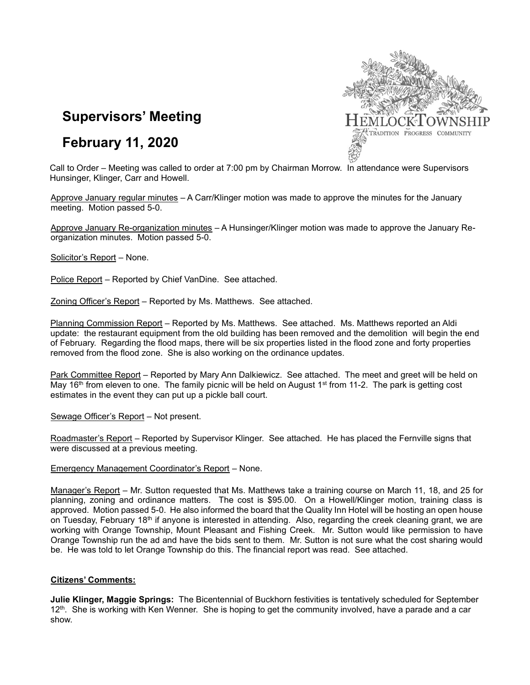

# **February 11, 2020**



Call to Order – Meeting was called to order at 7:00 pm by Chairman Morrow. In attendance were Supervisors Hunsinger, Klinger, Carr and Howell.

Approve January regular minutes – A Carr/Klinger motion was made to approve the minutes for the January meeting. Motion passed 5-0.

Approve January Re-organization minutes – A Hunsinger/Klinger motion was made to approve the January Reorganization minutes. Motion passed 5-0.

Solicitor's Report – None.

Police Report – Reported by Chief VanDine. See attached.

Zoning Officer's Report – Reported by Ms. Matthews. See attached.

Planning Commission Report – Reported by Ms. Matthews. See attached. Ms. Matthews reported an Aldi update: the restaurant equipment from the old building has been removed and the demolition will begin the end of February. Regarding the flood maps, there will be six properties listed in the flood zone and forty properties removed from the flood zone. She is also working on the ordinance updates.

Park Committee Report – Reported by Mary Ann Dalkiewicz. See attached. The meet and greet will be held on May 16<sup>th</sup> from eleven to one. The family picnic will be held on August 1<sup>st</sup> from 11-2. The park is getting cost estimates in the event they can put up a pickle ball court.

Sewage Officer's Report – Not present.

Roadmaster's Report – Reported by Supervisor Klinger. See attached. He has placed the Fernville signs that were discussed at a previous meeting.

## Emergency Management Coordinator's Report – None.

Manager's Report – Mr. Sutton requested that Ms. Matthews take a training course on March 11, 18, and 25 for planning, zoning and ordinance matters. The cost is \$95.00. On a Howell/Klinger motion, training class is approved. Motion passed 5-0. He also informed the board that the Quality Inn Hotel will be hosting an open house on Tuesday, February 18<sup>th</sup> if anyone is interested in attending. Also, regarding the creek cleaning grant, we are working with Orange Township, Mount Pleasant and Fishing Creek. Mr. Sutton would like permission to have Orange Township run the ad and have the bids sent to them. Mr. Sutton is not sure what the cost sharing would be. He was told to let Orange Township do this. The financial report was read. See attached.

## **Citizens' Comments:**

**Julie Klinger, Maggie Springs:** The Bicentennial of Buckhorn festivities is tentatively scheduled for September  $12<sup>th</sup>$ . She is working with Ken Wenner. She is hoping to get the community involved, have a parade and a car show.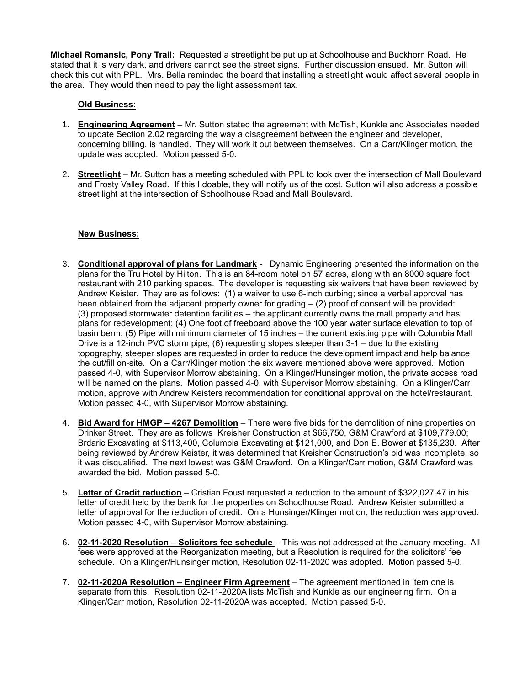**Michael Romansic, Pony Trail:** Requested a streetlight be put up at Schoolhouse and Buckhorn Road. He stated that it is very dark, and drivers cannot see the street signs. Further discussion ensued. Mr. Sutton will check this out with PPL. Mrs. Bella reminded the board that installing a streetlight would affect several people in the area. They would then need to pay the light assessment tax.

## **Old Business:**

- 1. **Engineering Agreement** Mr. Sutton stated the agreement with McTish, Kunkle and Associates needed to update Section 2.02 regarding the way a disagreement between the engineer and developer, concerning billing, is handled. They will work it out between themselves. On a Carr/Klinger motion, the update was adopted. Motion passed 5-0.
- 2. **Streetlight** Mr. Sutton has a meeting scheduled with PPL to look over the intersection of Mall Boulevard and Frosty Valley Road. If this I doable, they will notify us of the cost. Sutton will also address a possible street light at the intersection of Schoolhouse Road and Mall Boulevard.

## **New Business:**

- 3. **Conditional approval of plans for Landmark** Dynamic Engineering presented the information on the plans for the Tru Hotel by Hilton. This is an 84-room hotel on 57 acres, along with an 8000 square foot restaurant with 210 parking spaces. The developer is requesting six waivers that have been reviewed by Andrew Keister. They are as follows: (1) a waiver to use 6-inch curbing; since a verbal approval has been obtained from the adjacent property owner for grading – (2) proof of consent will be provided: (3) proposed stormwater detention facilities – the applicant currently owns the mall property and has plans for redevelopment; (4) One foot of freeboard above the 100 year water surface elevation to top of basin berm; (5) Pipe with minimum diameter of 15 inches – the current existing pipe with Columbia Mall Drive is a 12-inch PVC storm pipe; (6) requesting slopes steeper than 3-1 – due to the existing topography, steeper slopes are requested in order to reduce the development impact and help balance the cut/fill on-site. On a Carr/Klinger motion the six wavers mentioned above were approved. Motion passed 4-0, with Supervisor Morrow abstaining. On a Klinger/Hunsinger motion, the private access road will be named on the plans. Motion passed 4-0, with Supervisor Morrow abstaining. On a Klinger/Carr motion, approve with Andrew Keisters recommendation for conditional approval on the hotel/restaurant. Motion passed 4-0, with Supervisor Morrow abstaining.
- 4. **Bid Award for HMGP – 4267 Demolition** There were five bids for the demolition of nine properties on Drinker Street. They are as follows Kreisher Construction at \$66,750, G&M Crawford at \$109,779.00; Brdaric Excavating at \$113,400, Columbia Excavating at \$121,000, and Don E. Bower at \$135,230. After being reviewed by Andrew Keister, it was determined that Kreisher Construction's bid was incomplete, so it was disqualified. The next lowest was G&M Crawford. On a Klinger/Carr motion, G&M Crawford was awarded the bid. Motion passed 5-0.
- 5. **Letter of Credit reduction** Cristian Foust requested a reduction to the amount of \$322,027.47 in his letter of credit held by the bank for the properties on Schoolhouse Road. Andrew Keister submitted a letter of approval for the reduction of credit. On a Hunsinger/Klinger motion, the reduction was approved. Motion passed 4-0, with Supervisor Morrow abstaining.
- 6. **02-11-2020 Resolution – Solicitors fee schedule** This was not addressed at the January meeting. All fees were approved at the Reorganization meeting, but a Resolution is required for the solicitors' fee schedule. On a Klinger/Hunsinger motion, Resolution 02-11-2020 was adopted. Motion passed 5-0.
- 7. **02-11-2020A Resolution – Engineer Firm Agreement** The agreement mentioned in item one is separate from this. Resolution 02-11-2020A lists McTish and Kunkle as our engineering firm. On a Klinger/Carr motion, Resolution 02-11-2020A was accepted. Motion passed 5-0.